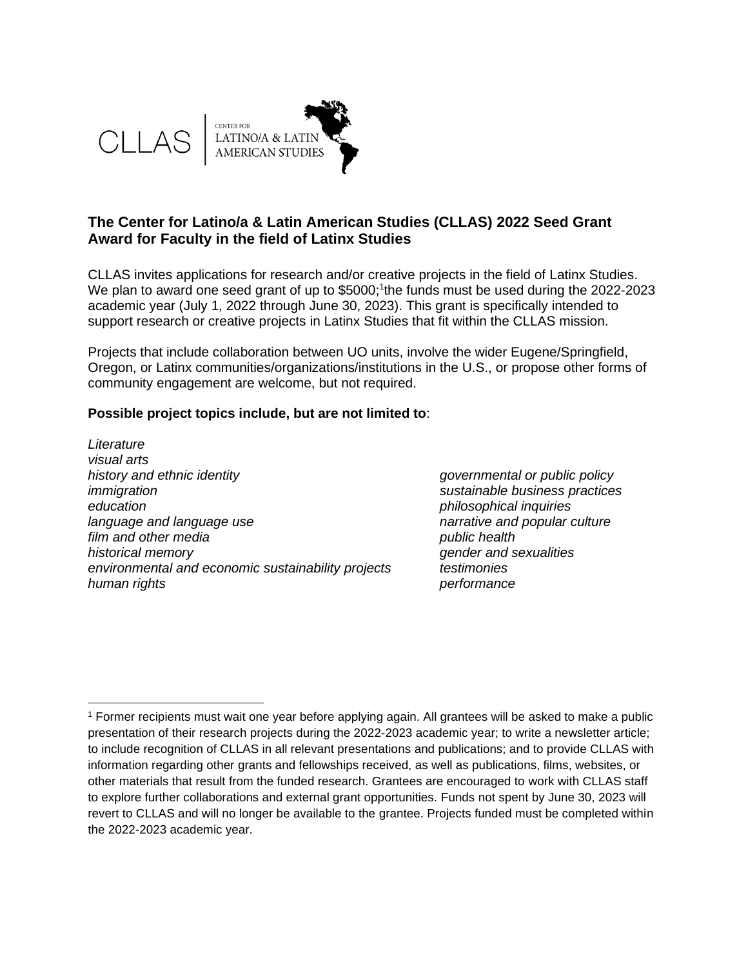

# **The Center for Latino/a & Latin American Studies (CLLAS) 2022 Seed Grant Award for Faculty in the field of Latinx Studies**

CLLAS invites applications for research and/or creative projects in the field of Latinx Studies. We plan to award one seed grant of up to \$5000;<sup>1</sup>the funds must be used during the 2022-2023 academic year (July 1, 2022 through June 30, 2023). This grant is specifically intended to support research or creative projects in Latinx Studies that fit within the CLLAS mission.

Projects that include collaboration between UO units, involve the wider Eugene/Springfield, Oregon, or Latinx communities/organizations/institutions in the U.S., or propose other forms of community engagement are welcome, but not required.

#### **Possible project topics include, but are not limited to**:

*Literature visual arts history and ethnic identity governmental or public policy immigration sustainable business practices education philosophical inquiries language and language use narrative and popular culture film and other media public health historical memory gender and sexualities environmental and economic sustainability projects testimonies human rights performance*

<sup>1</sup> Former recipients must wait one year before applying again. All grantees will be asked to make a public presentation of their research projects during the 2022-2023 academic year; to write a newsletter article; to include recognition of CLLAS in all relevant presentations and publications; and to provide CLLAS with information regarding other grants and fellowships received, as well as publications, films, websites, or other materials that result from the funded research. Grantees are encouraged to work with CLLAS staff to explore further collaborations and external grant opportunities. Funds not spent by June 30, 2023 will revert to CLLAS and will no longer be available to the grantee. Projects funded must be completed within the 2022-2023 academic year.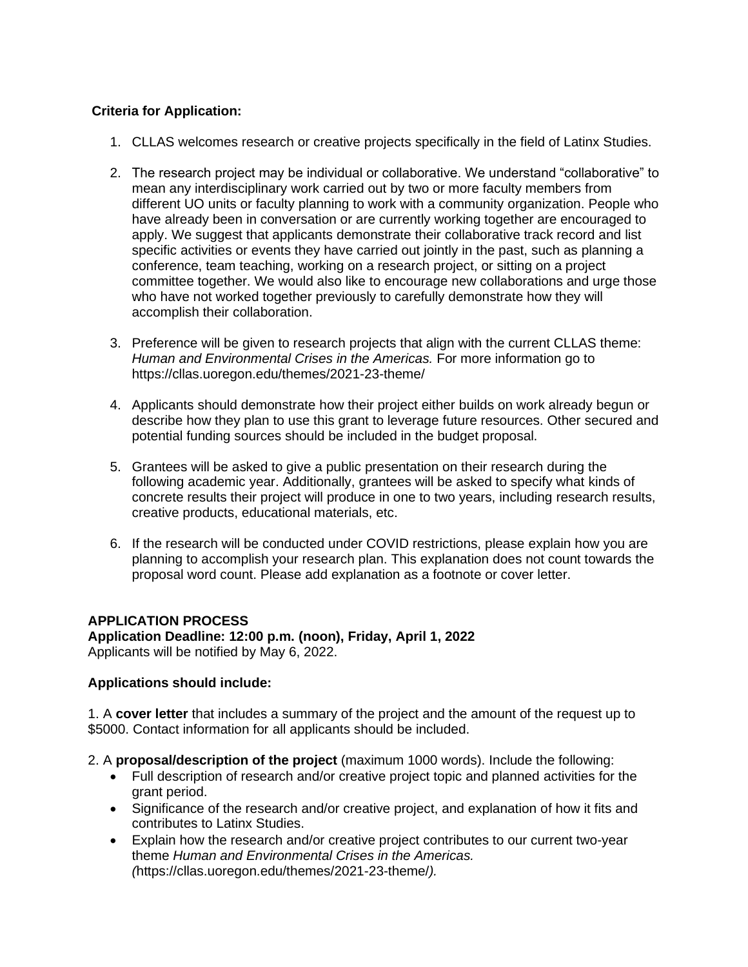## **Criteria for Application:**

- 1. CLLAS welcomes research or creative projects specifically in the field of Latinx Studies.
- 2. The research project may be individual or collaborative. We understand "collaborative" to mean any interdisciplinary work carried out by two or more faculty members from different UO units or faculty planning to work with a community organization. People who have already been in conversation or are currently working together are encouraged to apply. We suggest that applicants demonstrate their collaborative track record and list specific activities or events they have carried out jointly in the past, such as planning a conference, team teaching, working on a research project, or sitting on a project committee together. We would also like to encourage new collaborations and urge those who have not worked together previously to carefully demonstrate how they will accomplish their collaboration.
- 3. Preference will be given to research projects that align with the current CLLAS theme: *Human and Environmental Crises in the Americas.* For more information go to https://cllas.uoregon.edu/themes/2021-23-theme/
- 4. Applicants should demonstrate how their project either builds on work already begun or describe how they plan to use this grant to leverage future resources. Other secured and potential funding sources should be included in the budget proposal.
- 5. Grantees will be asked to give a public presentation on their research during the following academic year. Additionally, grantees will be asked to specify what kinds of concrete results their project will produce in one to two years, including research results, creative products, educational materials, etc.
- 6. If the research will be conducted under COVID restrictions, please explain how you are planning to accomplish your research plan. This explanation does not count towards the proposal word count. Please add explanation as a footnote or cover letter.

# **APPLICATION PROCESS**

**Application Deadline: 12:00 p.m. (noon), Friday, April 1, 2022** Applicants will be notified by May 6, 2022.

### **Applications should include:**

1. A **cover letter** that includes a summary of the project and the amount of the request up to \$5000. Contact information for all applicants should be included.

- 2. A **proposal/description of the project** (maximum 1000 words). Include the following:
	- Full description of research and/or creative project topic and planned activities for the grant period.
	- Significance of the research and/or creative project, and explanation of how it fits and contributes to Latinx Studies.
	- Explain how the research and/or creative project contributes to our current two-year theme *Human and Environmental Crises in the Americas. (*https://cllas.uoregon.edu/themes/2021-23-theme/*).*